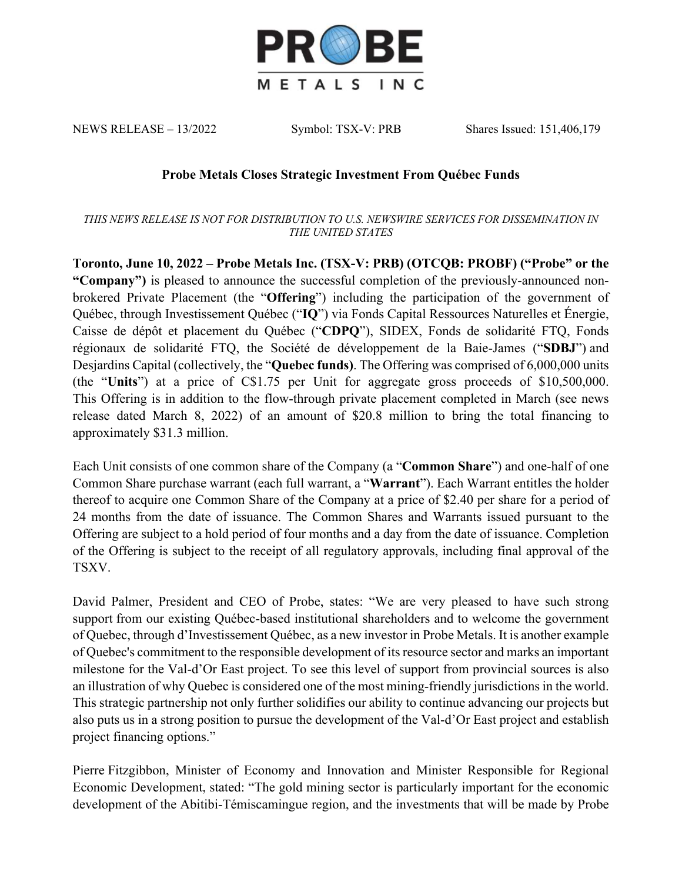

NEWS RELEASE – 13/2022 Symbol: TSX-V: PRB Shares Issued: 151,406,179

## **Probe Metals Closes Strategic Investment From Québec Funds**

*THIS NEWS RELEASE IS NOT FOR DISTRIBUTION TO U.S. NEWSWIRE SERVICES FOR DISSEMINATION IN THE UNITED STATES*

**Toronto, June 10, 2022 – Probe Metals Inc. (TSX-V: PRB) (OTCQB: PROBF) ("Probe" or the "Company")** is pleased to announce the successful completion of the previously-announced nonbrokered Private Placement (the "**Offering**") including the participation of the government of Québec, through Investissement Québec ("**IQ**") via Fonds Capital Ressources Naturelles et Énergie, Caisse de dépôt et placement du Québec ("**CDPQ**"), SIDEX, Fonds de solidarité FTQ, Fonds régionaux de solidarité FTQ, the Société de développement de la Baie-James ("**SDBJ**") and Desjardins Capital (collectively, the "**Quebec funds)**. The Offering was comprised of 6,000,000 units (the "**Units**") at a price of C\$1.75 per Unit for aggregate gross proceeds of \$10,500,000. This Offering is in addition to the flow-through private placement completed in March (see news release dated March 8, 2022) of an amount of \$20.8 million to bring the total financing to approximately \$31.3 million.

Each Unit consists of one common share of the Company (a "**Common Share**") and one-half of one Common Share purchase warrant (each full warrant, a "**Warrant**"). Each Warrant entitles the holder thereof to acquire one Common Share of the Company at a price of \$2.40 per share for a period of 24 months from the date of issuance. The Common Shares and Warrants issued pursuant to the Offering are subject to a hold period of four months and a day from the date of issuance. Completion of the Offering is subject to the receipt of all regulatory approvals, including final approval of the TSXV.

David Palmer, President and CEO of Probe, states: "We are very pleased to have such strong support from our existing Québec-based institutional shareholders and to welcome the government of Quebec, through d'Investissement Québec, as a new investor in Probe Metals. It is another example of Quebec's commitment to the responsible development of its resource sector and marks an important milestone for the Val-d'Or East project. To see this level of support from provincial sources is also an illustration of why Quebec is considered one of the most mining-friendly jurisdictions in the world. This strategic partnership not only further solidifies our ability to continue advancing our projects but also puts us in a strong position to pursue the development of the Val-d'Or East project and establish project financing options."

Pierre Fitzgibbon, Minister of Economy and Innovation and Minister Responsible for Regional Economic Development, stated: "The gold mining sector is particularly important for the economic development of the Abitibi-Témiscamingue region, and the investments that will be made by Probe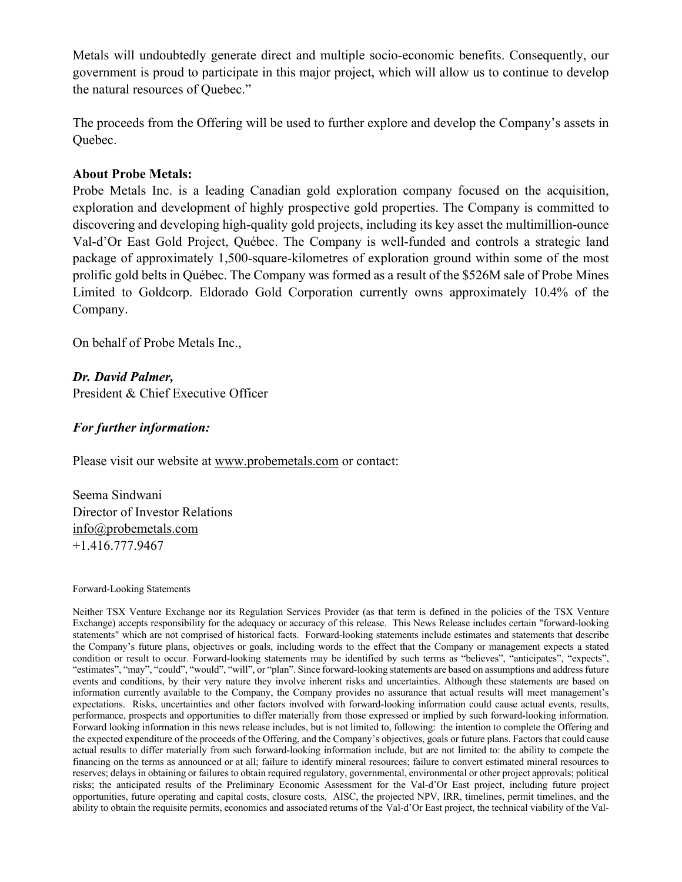Metals will undoubtedly generate direct and multiple socio-economic benefits. Consequently, our government is proud to participate in this major project, which will allow us to continue to develop the natural resources of Quebec."

The proceeds from the Offering will be used to further explore and develop the Company's assets in Quebec.

## **About Probe Metals:**

Probe Metals Inc. is a leading Canadian gold exploration company focused on the acquisition, exploration and development of highly prospective gold properties. The Company is committed to discovering and developing high-quality gold projects, including its key asset the multimillion-ounce Val-d'Or East Gold Project, Québec. The Company is well-funded and controls a strategic land package of approximately 1,500-square-kilometres of exploration ground within some of the most prolific gold belts in Québec. The Company was formed as a result of the \$526M sale of Probe Mines Limited to Goldcorp. Eldorado Gold Corporation currently owns approximately 10.4% of the Company.

On behalf of Probe Metals Inc.,

*Dr. David Palmer,* President & Chief Executive Officer

## *For further information:*

Please visit our website at www.probemetals.com or contact:

Seema Sindwani Director of Investor Relations info@probemetals.com +1.416.777.9467

## Forward-Looking Statements

Neither TSX Venture Exchange nor its Regulation Services Provider (as that term is defined in the policies of the TSX Venture Exchange) accepts responsibility for the adequacy or accuracy of this release. This News Release includes certain "forward-looking statements" which are not comprised of historical facts. Forward-looking statements include estimates and statements that describe the Company's future plans, objectives or goals, including words to the effect that the Company or management expects a stated condition or result to occur. Forward-looking statements may be identified by such terms as "believes", "anticipates", "expects", "estimates", "may", "could", "would", "will", or "plan". Since forward-looking statements are based on assumptions and address future events and conditions, by their very nature they involve inherent risks and uncertainties. Although these statements are based on information currently available to the Company, the Company provides no assurance that actual results will meet management's expectations. Risks, uncertainties and other factors involved with forward-looking information could cause actual events, results, performance, prospects and opportunities to differ materially from those expressed or implied by such forward-looking information. Forward looking information in this news release includes, but is not limited to, following: the intention to complete the Offering and the expected expenditure of the proceeds of the Offering, and the Company's objectives, goals or future plans. Factors that could cause actual results to differ materially from such forward-looking information include, but are not limited to: the ability to compete the financing on the terms as announced or at all; failure to identify mineral resources; failure to convert estimated mineral resources to reserves; delays in obtaining or failures to obtain required regulatory, governmental, environmental or other project approvals; political risks; the anticipated results of the Preliminary Economic Assessment for the Val-d'Or East project, including future project opportunities, future operating and capital costs, closure costs, AISC, the projected NPV, IRR, timelines, permit timelines, and the ability to obtain the requisite permits, economics and associated returns of the Val-d'Or East project, the technical viability of the Val